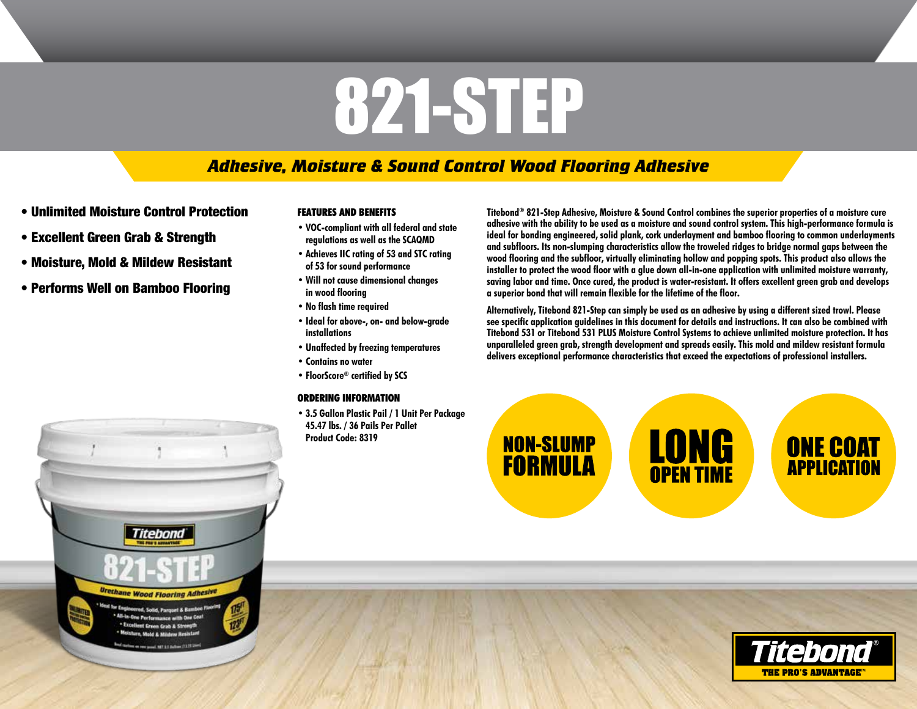# 821-STEP

# *Adhesive, Moisture & Sound Control Wood Flooring Adhesive*

- Unlimited Moisture Control Protection
- Excellent Green Grab & Strength
- Moisture, Mold & Mildew Resistant
- Performs Well on Bamboo Flooring

# **FEATURES AND BENEFITS**

- **• VOC-compliant with all federal and state regulations as well as the SCAQMD**
- **• Achieves IIC rating of 53 and STC rating of 53 for sound performance**
- **• Will not cause dimensional changes in wood flooring**
- **• No flash time required**
- **• Ideal for above-, on- and below-grade installations**
- **• Unaffected by freezing temperatures**
- **• Contains no water**
- **• FloorScore® certified by SCS**

# **ORDERING INFORMATION**

**• 3.5 Gallon Plastic Pail / 1 Unit Per Package 45.47 lbs. / 36 Pails Per Pallet Product Code: 8319** 

**Titebond® 821-Step Adhesive, Moisture & Sound Control combines the superior properties of a moisture cure adhesive with the ability to be used as a moisture and sound control system. This high-performance formula is ideal for bonding engineered, solid plank, cork underlayment and bamboo flooring to common underlayments and subfloors. Its non-slumping characteristics allow the troweled ridges to bridge normal gaps between the wood flooring and the subfloor, virtually eliminating hollow and popping spots. This product also allows the installer to protect the wood floor with a glue down all-in-one application with unlimited moisture warranty, saving labor and time. Once cured, the product is water-resistant. It offers excellent green grab and develops a superior bond that will remain flexible for the lifetime of the floor.** 

**Alternatively, Titebond 821-Step can simply be used as an adhesive by using a different sized trowl. Please see specific application guidelines in this document for details and instructions. It can also be combined with Titebond 531 or Titebond 531 PLUS Moisture Control Systems to achieve unlimited moisture protection. It has unparalleled green grab, strength development and spreads easily. This mold and mildew resistant formula delivers exceptional performance characteristics that exceed the expectations of professional installers.** 

**NON-SLUMP FORMULA** 

**LONG**